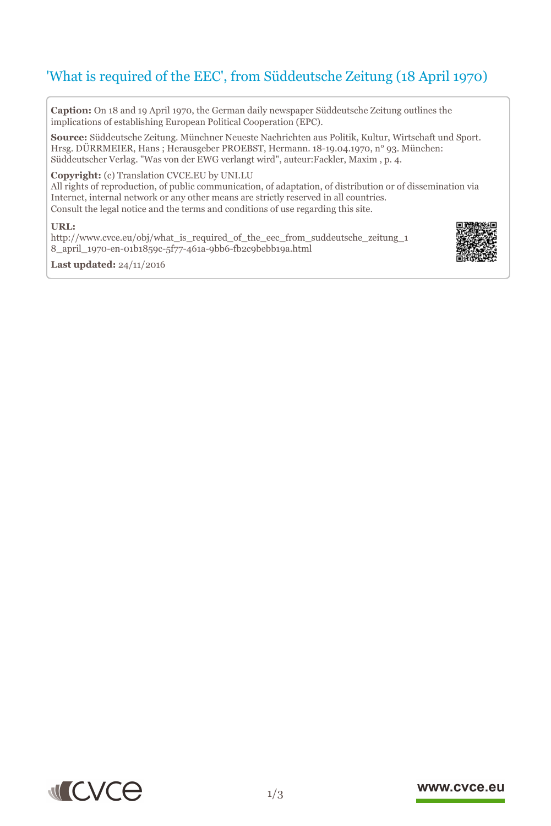# 'What is required of the EEC', from Süddeutsche Zeitung (18 April 1970)

**Caption:** On 18 and 19 April 1970, the German daily newspaper Süddeutsche Zeitung outlines the implications of establishing European Political Cooperation (EPC).

**Source:** Süddeutsche Zeitung. Münchner Neueste Nachrichten aus Politik, Kultur, Wirtschaft und Sport. Hrsg. DÜRRMEIER, Hans ; Herausgeber PROEBST, Hermann. 18-19.04.1970, n° 93. München: Süddeutscher Verlag. "Was von der EWG verlangt wird", auteur:Fackler, Maxim , p. 4.

# **Copyright:** (c) Translation CVCE.EU by UNI.LU

All rights of reproduction, of public communication, of adaptation, of distribution or of dissemination via Internet, internal network or any other means are strictly reserved in all countries. Consult the legal notice and the terms and conditions of use regarding this site.

#### **URL:**

http://www.cvce.eu/obj/what\_is\_required\_of\_the\_eec\_from\_suddeutsche\_zeitung\_1 8\_a[pril\\_1970-en-01b1859c-5f77-461a-9bb6-fb2c9bebb19a.html](http://www.cvce.eu/obj/what_is_required_of_the_eec_from_suddeutsche_zeitung_18_april_1970-en-01b1859c-5f77-461a-9bb6-fb2c9bebb19a.html)







# www.cvce.eu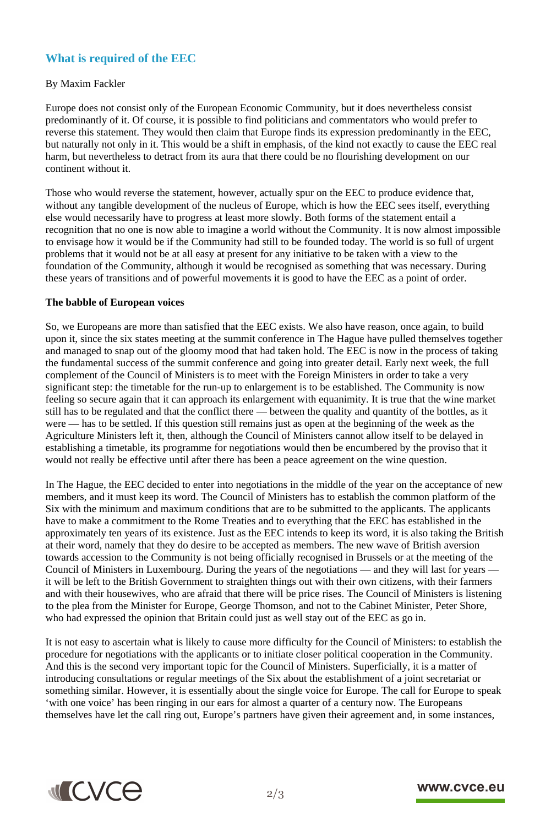# **What is required of the EEC**

### By Maxim Fackler

Europe does not consist only of the European Economic Community, but it does nevertheless consist predominantly of it. Of course, it is possible to find politicians and commentators who would prefer to reverse this statement. They would then claim that Europe finds its expression predominantly in the EEC, but naturally not only in it. This would be a shift in emphasis, of the kind not exactly to cause the EEC real harm, but nevertheless to detract from its aura that there could be no flourishing development on our continent without it.

Those who would reverse the statement, however, actually spur on the EEC to produce evidence that, without any tangible development of the nucleus of Europe, which is how the EEC sees itself, everything else would necessarily have to progress at least more slowly. Both forms of the statement entail a recognition that no one is now able to imagine a world without the Community. It is now almost impossible to envisage how it would be if the Community had still to be founded today. The world is so full of urgent problems that it would not be at all easy at present for any initiative to be taken with a view to the foundation of the Community, although it would be recognised as something that was necessary. During these years of transitions and of powerful movements it is good to have the EEC as a point of order.

# **The babble of European voices**

So, we Europeans are more than satisfied that the EEC exists. We also have reason, once again, to build upon it, since the six states meeting at the summit conference in The Hague have pulled themselves together and managed to snap out of the gloomy mood that had taken hold. The EEC is now in the process of taking the fundamental success of the summit conference and going into greater detail. Early next week, the full complement of the Council of Ministers is to meet with the Foreign Ministers in order to take a very significant step: the timetable for the run-up to enlargement is to be established. The Community is now feeling so secure again that it can approach its enlargement with equanimity. It is true that the wine market still has to be regulated and that the conflict there — between the quality and quantity of the bottles, as it were — has to be settled. If this question still remains just as open at the beginning of the week as the Agriculture Ministers left it, then, although the Council of Ministers cannot allow itself to be delayed in establishing a timetable, its programme for negotiations would then be encumbered by the proviso that it would not really be effective until after there has been a peace agreement on the wine question.

In The Hague, the EEC decided to enter into negotiations in the middle of the year on the acceptance of new members, and it must keep its word. The Council of Ministers has to establish the common platform of the Six with the minimum and maximum conditions that are to be submitted to the applicants. The applicants have to make a commitment to the Rome Treaties and to everything that the EEC has established in the approximately ten years of its existence. Just as the EEC intends to keep its word, it is also taking the British at their word, namely that they do desire to be accepted as members. The new wave of British aversion towards accession to the Community is not being officially recognised in Brussels or at the meeting of the Council of Ministers in Luxembourg. During the years of the negotiations — and they will last for years it will be left to the British Government to straighten things out with their own citizens, with their farmers and with their housewives, who are afraid that there will be price rises. The Council of Ministers is listening to the plea from the Minister for Europe, George Thomson, and not to the Cabinet Minister, Peter Shore, who had expressed the opinion that Britain could just as well stay out of the EEC as go in.

It is not easy to ascertain what is likely to cause more difficulty for the Council of Ministers: to establish the procedure for negotiations with the applicants or to initiate closer political cooperation in the Community. And this is the second very important topic for the Council of Ministers. Superficially, it is a matter of introducing consultations or regular meetings of the Six about the establishment of a joint secretariat or something similar. However, it is essentially about the single voice for Europe. The call for Europe to speak 'with one voice' has been ringing in our ears for almost a quarter of a century now. The Europeans themselves have let the call ring out, Europe's partners have given their agreement and, in some instances,



# www.cvce.eu